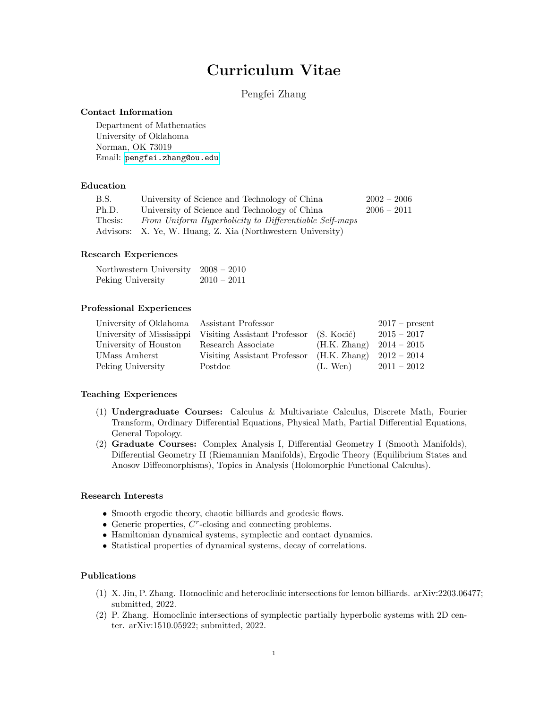# Curriculum Vitae

# Pengfei Zhang

#### Contact Information

Department of Mathematics University of Oklahoma Norman, OK 73019 Email: <pengfei.zhang@ou.edu>

#### Education

| B.S.    | University of Science and Technology of China               | $2002 - 2006$ |
|---------|-------------------------------------------------------------|---------------|
| Ph.D.   | University of Science and Technology of China               | $2006 - 2011$ |
| Thesis: | From Uniform Hyperbolicity to Differentiable Self-maps      |               |
|         | Advisors: X. Ye, W. Huang, Z. Xia (Northwestern University) |               |

#### Research Experiences

| Northwestern University $2008 - 2010$ |               |
|---------------------------------------|---------------|
| Peking University                     | $2010 - 2011$ |

#### Professional Experiences

| University of Oklahoma Assistant Professor |                                                        |                            | $2017$ – present |
|--------------------------------------------|--------------------------------------------------------|----------------------------|------------------|
|                                            | University of Mississippi Visiting Assistant Professor | (S. Kocić)                 | $2015 - 2017$    |
| University of Houston                      | Research Associate                                     | $(H.K. Zhang)$ 2014 – 2015 |                  |
| UMass Amherst                              | Visiting Assistant Professor                           | $(H.K. Zhang)$ 2012 – 2014 |                  |
| Peking University                          | Postdoc                                                | $(L.$ Wen)                 | $2011 - 2012$    |

# Teaching Experiences

- (1) Undergraduate Courses: Calculus & Multivariate Calculus, Discrete Math, Fourier Transform, Ordinary Differential Equations, Physical Math, Partial Differential Equations, General Topology.
- (2) Graduate Courses: Complex Analysis I, Differential Geometry I (Smooth Manifolds), Differential Geometry II (Riemannian Manifolds), Ergodic Theory (Equilibrium States and Anosov Diffeomorphisms), Topics in Analysis (Holomorphic Functional Calculus).

#### Research Interests

- Smooth ergodic theory, chaotic billiards and geodesic flows.
- $\bullet$  Generic properties,  $C^r$ -closing and connecting problems.
- Hamiltonian dynamical systems, symplectic and contact dynamics.
- Statistical properties of dynamical systems, decay of correlations.

# Publications

- (1) X. Jin, P. Zhang. Homoclinic and heteroclinic intersections for lemon billiards. arXiv:2203.06477; submitted, 2022.
- (2) P. Zhang. Homoclinic intersections of symplectic partially hyperbolic systems with 2D center. arXiv:1510.05922; submitted, 2022.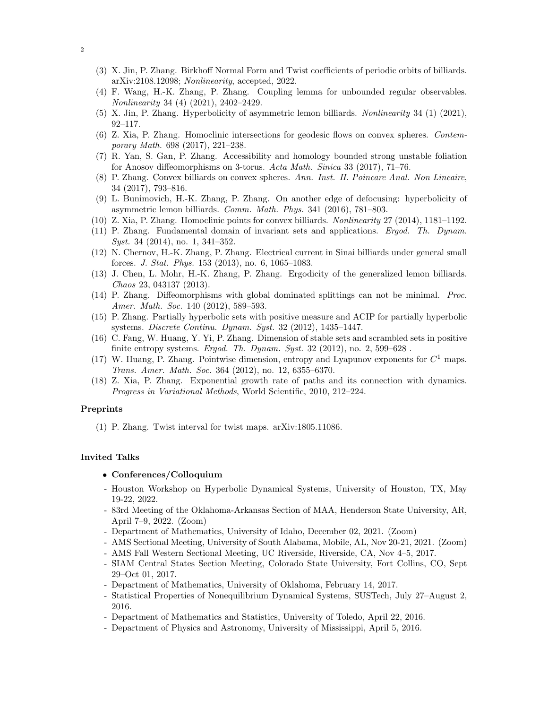- (3) X. Jin, P. Zhang. Birkhoff Normal Form and Twist coefficients of periodic orbits of billiards. arXiv:2108.12098; Nonlinearity, accepted, 2022.
- (4) F. Wang, H.-K. Zhang, P. Zhang. Coupling lemma for unbounded regular observables. Nonlinearity 34 (4) (2021), 2402–2429.
- (5) X. Jin, P. Zhang. Hyperbolicity of asymmetric lemon billiards. Nonlinearity 34 (1) (2021), 92–117.
- (6) Z. Xia, P. Zhang. Homoclinic intersections for geodesic flows on convex spheres. Contemporary Math. 698 (2017), 221–238.
- (7) R. Yan, S. Gan, P. Zhang. Accessibility and homology bounded strong unstable foliation for Anosov diffeomorphisms on 3-torus. Acta Math. Sinica 33 (2017), 71–76.
- (8) P. Zhang. Convex billiards on convex spheres. Ann. Inst. H. Poincare Anal. Non Lineaire, 34 (2017), 793–816.
- (9) L. Bunimovich, H.-K. Zhang, P. Zhang. On another edge of defocusing: hyperbolicity of asymmetric lemon billiards. Comm. Math. Phys. 341 (2016), 781–803.
- (10) Z. Xia, P. Zhang. Homoclinic points for convex billiards. Nonlinearity 27 (2014), 1181–1192.
- (11) P. Zhang. Fundamental domain of invariant sets and applications. Ergod. Th. Dynam. Syst. 34 (2014), no. 1, 341–352.
- (12) N. Chernov, H.-K. Zhang, P. Zhang. Electrical current in Sinai billiards under general small forces. J. Stat. Phys. 153 (2013), no. 6, 1065–1083.
- (13) J. Chen, L. Mohr, H.-K. Zhang, P. Zhang. Ergodicity of the generalized lemon billiards. Chaos 23, 043137 (2013).
- (14) P. Zhang. Diffeomorphisms with global dominated splittings can not be minimal. Proc. Amer. Math. Soc. 140 (2012), 589-593.
- (15) P. Zhang. Partially hyperbolic sets with positive measure and ACIP for partially hyperbolic systems. Discrete Continu. Dynam. Syst. 32 (2012), 1435–1447.
- (16) C. Fang, W. Huang, Y. Yi, P. Zhang. Dimension of stable sets and scrambled sets in positive finite entropy systems. Ergod. Th. Dynam. Syst.  $32$  (2012), no.  $2, 599-628$ .
- (17) W. Huang, P. Zhang. Pointwise dimension, entropy and Lyapunov exponents for  $C<sup>1</sup>$  maps. Trans. Amer. Math. Soc. 364 (2012), no. 12, 6355–6370.
- (18) Z. Xia, P. Zhang. Exponential growth rate of paths and its connection with dynamics. Progress in Variational Methods, World Scientific, 2010, 212–224.

#### Preprints

(1) P. Zhang. Twist interval for twist maps. arXiv:1805.11086.

### Invited Talks

- Conferences/Colloquium
- Houston Workshop on Hyperbolic Dynamical Systems, University of Houston, TX, May 19-22, 2022.
- 83rd Meeting of the Oklahoma-Arkansas Section of MAA, Henderson State University, AR, April 7–9, 2022. (Zoom)
- Department of Mathematics, University of Idaho, December 02, 2021. (Zoom)
- AMS Sectional Meeting, University of South Alabama, Mobile, AL, Nov 20-21, 2021. (Zoom)
- AMS Fall Western Sectional Meeting, UC Riverside, Riverside, CA, Nov 4–5, 2017.
- SIAM Central States Section Meeting, Colorado State University, Fort Collins, CO, Sept 29–Oct 01, 2017.
- Department of Mathematics, University of Oklahoma, February 14, 2017.
- Statistical Properties of Nonequilibrium Dynamical Systems, SUSTech, July 27–August 2, 2016.
- Department of Mathematics and Statistics, University of Toledo, April 22, 2016.
- Department of Physics and Astronomy, University of Mississippi, April 5, 2016.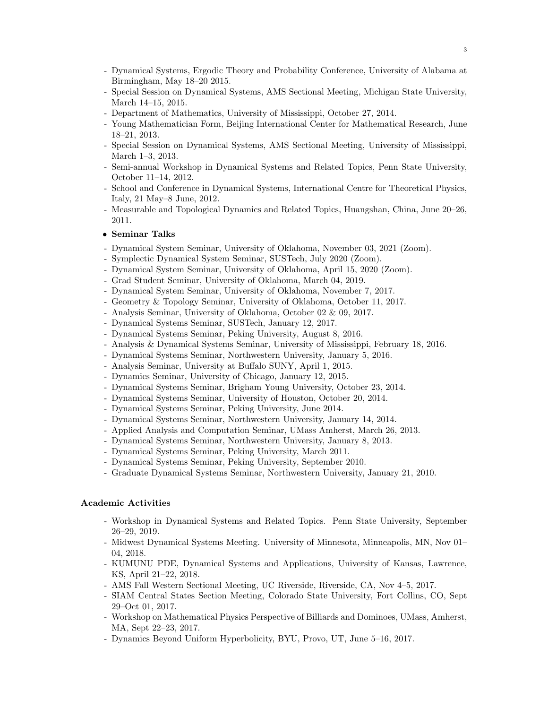- Dynamical Systems, Ergodic Theory and Probability Conference, University of Alabama at Birmingham, May 18–20 2015.
- Special Session on Dynamical Systems, AMS Sectional Meeting, Michigan State University, March 14–15, 2015.
- Department of Mathematics, University of Mississippi, October 27, 2014.
- Young Mathematician Form, Beijing International Center for Mathematical Research, June 18–21, 2013.
- Special Session on Dynamical Systems, AMS Sectional Meeting, University of Mississippi, March 1–3, 2013.
- Semi-annual Workshop in Dynamical Systems and Related Topics, Penn State University, October 11–14, 2012.
- School and Conference in Dynamical Systems, International Centre for Theoretical Physics, Italy, 21 May–8 June, 2012.
- Measurable and Topological Dynamics and Related Topics, Huangshan, China, June 20–26, 2011.

#### • Seminar Talks

- Dynamical System Seminar, University of Oklahoma, November 03, 2021 (Zoom).
- Symplectic Dynamical System Seminar, SUSTech, July 2020 (Zoom).
- Dynamical System Seminar, University of Oklahoma, April 15, 2020 (Zoom).
- Grad Student Seminar, University of Oklahoma, March 04, 2019.
- Dynamical System Seminar, University of Oklahoma, November 7, 2017.
- Geometry & Topology Seminar, University of Oklahoma, October 11, 2017.
- Analysis Seminar, University of Oklahoma, October 02 & 09, 2017.
- Dynamical Systems Seminar, SUSTech, January 12, 2017.
- Dynamical Systems Seminar, Peking University, August 8, 2016.
- Analysis & Dynamical Systems Seminar, University of Mississippi, February 18, 2016.
- Dynamical Systems Seminar, Northwestern University, January 5, 2016.
- Analysis Seminar, University at Buffalo SUNY, April 1, 2015.
- Dynamics Seminar, University of Chicago, January 12, 2015.
- Dynamical Systems Seminar, Brigham Young University, October 23, 2014.
- Dynamical Systems Seminar, University of Houston, October 20, 2014.
- Dynamical Systems Seminar, Peking University, June 2014.
- Dynamical Systems Seminar, Northwestern University, January 14, 2014.
- Applied Analysis and Computation Seminar, UMass Amherst, March 26, 2013.
- Dynamical Systems Seminar, Northwestern University, January 8, 2013.
- Dynamical Systems Seminar, Peking University, March 2011.
- Dynamical Systems Seminar, Peking University, September 2010.
- Graduate Dynamical Systems Seminar, Northwestern University, January 21, 2010.

#### Academic Activities

- Workshop in Dynamical Systems and Related Topics. Penn State University, September 26–29, 2019.
- Midwest Dynamical Systems Meeting. University of Minnesota, Minneapolis, MN, Nov 01– 04, 2018.
- KUMUNU PDE, Dynamical Systems and Applications, University of Kansas, Lawrence, KS, April 21–22, 2018.
- AMS Fall Western Sectional Meeting, UC Riverside, Riverside, CA, Nov 4–5, 2017.
- SIAM Central States Section Meeting, Colorado State University, Fort Collins, CO, Sept 29–Oct 01, 2017.
- Workshop on Mathematical Physics Perspective of Billiards and Dominoes, UMass, Amherst, MA, Sept 22–23, 2017.
- Dynamics Beyond Uniform Hyperbolicity, BYU, Provo, UT, June 5–16, 2017.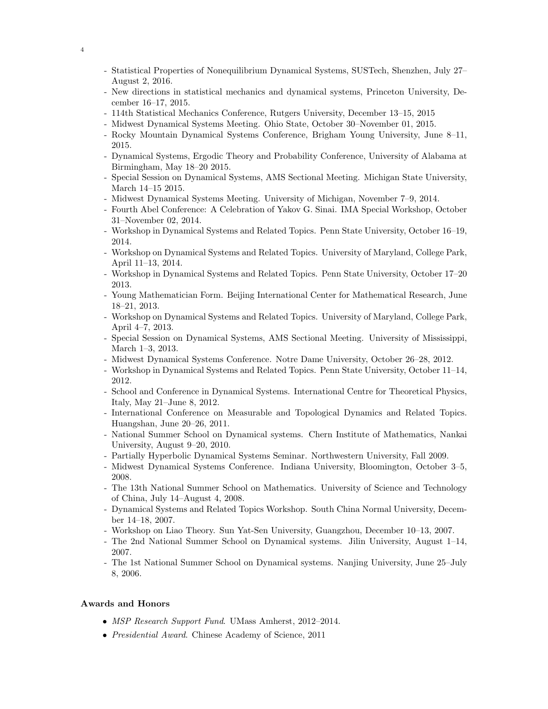- Statistical Properties of Nonequilibrium Dynamical Systems, SUSTech, Shenzhen, July 27– August 2, 2016.
- New directions in statistical mechanics and dynamical systems, Princeton University, December 16–17, 2015.
- 114th Statistical Mechanics Conference, Rutgers University, December 13–15, 2015
- Midwest Dynamical Systems Meeting. Ohio State, October 30–November 01, 2015.
- Rocky Mountain Dynamical Systems Conference, Brigham Young University, June 8–11, 2015.
- Dynamical Systems, Ergodic Theory and Probability Conference, University of Alabama at Birmingham, May 18–20 2015.
- Special Session on Dynamical Systems, AMS Sectional Meeting. Michigan State University, March 14–15 2015.
- Midwest Dynamical Systems Meeting. University of Michigan, November 7–9, 2014.
- Fourth Abel Conference: A Celebration of Yakov G. Sinai. IMA Special Workshop, October 31–November 02, 2014.
- Workshop in Dynamical Systems and Related Topics. Penn State University, October 16–19, 2014.
- Workshop on Dynamical Systems and Related Topics. University of Maryland, College Park, April 11–13, 2014.
- Workshop in Dynamical Systems and Related Topics. Penn State University, October 17–20 2013.
- Young Mathematician Form. Beijing International Center for Mathematical Research, June 18–21, 2013.
- Workshop on Dynamical Systems and Related Topics. University of Maryland, College Park, April 4–7, 2013.
- Special Session on Dynamical Systems, AMS Sectional Meeting. University of Mississippi, March 1–3, 2013.
- Midwest Dynamical Systems Conference. Notre Dame University, October 26–28, 2012.
- Workshop in Dynamical Systems and Related Topics. Penn State University, October 11–14, 2012.
- School and Conference in Dynamical Systems. International Centre for Theoretical Physics, Italy, May 21–June 8, 2012.
- International Conference on Measurable and Topological Dynamics and Related Topics. Huangshan, June 20–26, 2011.
- National Summer School on Dynamical systems. Chern Institute of Mathematics, Nankai University, August 9–20, 2010.
- Partially Hyperbolic Dynamical Systems Seminar. Northwestern University, Fall 2009.
- Midwest Dynamical Systems Conference. Indiana University, Bloomington, October 3–5, 2008.
- The 13th National Summer School on Mathematics. University of Science and Technology of China, July 14–August 4, 2008.
- Dynamical Systems and Related Topics Workshop. South China Normal University, December 14–18, 2007.
- Workshop on Liao Theory. Sun Yat-Sen University, Guangzhou, December 10–13, 2007.
- The 2nd National Summer School on Dynamical systems. Jilin University, August 1–14, 2007.
- The 1st National Summer School on Dynamical systems. Nanjing University, June 25–July 8, 2006.

# Awards and Honors

- MSP Research Support Fund. UMass Amherst, 2012–2014.
- Presidential Award. Chinese Academy of Science, 2011